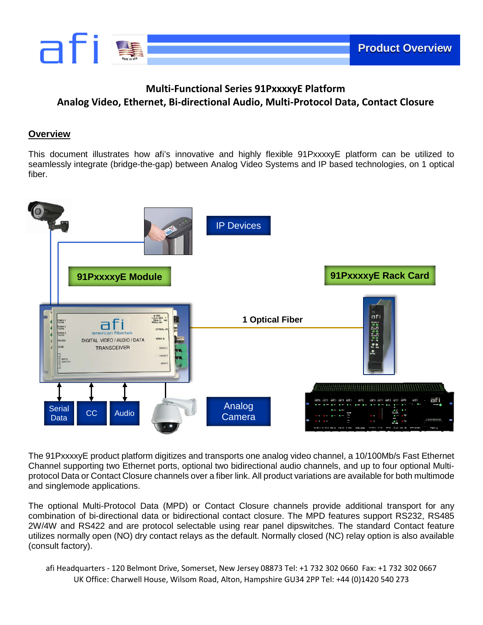

# **Multi-Functional Series 91PxxxxyE Platform Analog Video, Ethernet, Bi-directional Audio, Multi-Protocol Data, Contact Closure**

### **Overview**

This document illustrates how afi's innovative and highly flexible 91PxxxxyE platform can be utilized to seamlessly integrate (bridge-the-gap) between Analog Video Systems and IP based technologies, on 1 optical fiber.



The 91PxxxxyE product platform digitizes and transports one analog video channel, a 10/100Mb/s Fast Ethernet Channel supporting two Ethernet ports, optional two bidirectional audio channels, and up to four optional Multiprotocol Data or Contact Closure channels over a fiber link. All product variations are available for both multimode and singlemode applications.

The optional Multi-Protocol Data (MPD) or Contact Closure channels provide additional transport for any combination of bi-directional data or bidirectional contact closure. The MPD features support RS232, RS485 2W/4W and RS422 and are protocol selectable using rear panel dipswitches. The standard Contact feature utilizes normally open (NO) dry contact relays as the default. Normally closed (NC) relay option is also available (consult factory).

afi Headquarters - 120 Belmont Drive, Somerset, New Jersey 08873 Tel: +1 732 302 0660 Fax: +1 732 302 0667 UK Office: Charwell House, Wilsom Road, Alton, Hampshire GU34 2PP Tel: +44 (0)1420 540 273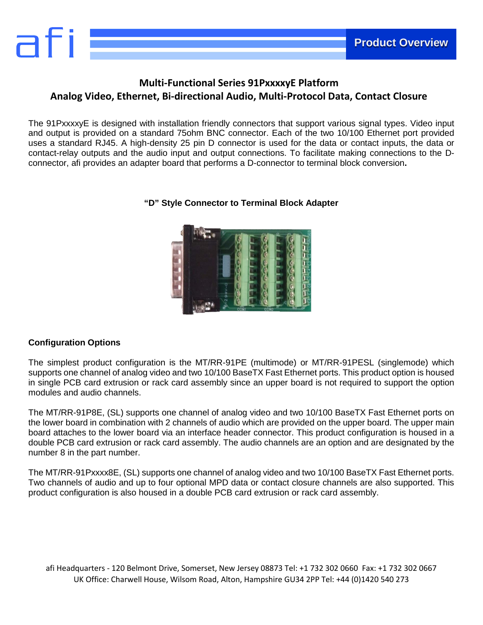

## **Multi-Functional Series 91PxxxxyE Platform Analog Video, Ethernet, Bi-directional Audio, Multi-Protocol Data, Contact Closure**

The 91PxxxxyE is designed with installation friendly connectors that support various signal types. Video input and output is provided on a standard 75ohm BNC connector. Each of the two 10/100 Ethernet port provided uses a standard RJ45. A high-density 25 pin D connector is used for the data or contact inputs, the data or contact-relay outputs and the audio input and output connections. To facilitate making connections to the Dconnector, afi provides an adapter board that performs a D-connector to terminal block conversion**.**



### **"D" Style Connector to Terminal Block Adapter**

### **Configuration Options**

The simplest product configuration is the MT/RR-91PE (multimode) or MT/RR-91PESL (singlemode) which supports one channel of analog video and two 10/100 BaseTX Fast Ethernet ports. This product option is housed in single PCB card extrusion or rack card assembly since an upper board is not required to support the option modules and audio channels.

The MT/RR-91P8E, (SL) supports one channel of analog video and two 10/100 BaseTX Fast Ethernet ports on the lower board in combination with 2 channels of audio which are provided on the upper board. The upper main board attaches to the lower board via an interface header connector. This product configuration is housed in a double PCB card extrusion or rack card assembly. The audio channels are an option and are designated by the number 8 in the part number.

The MT/RR-91Pxxxx8E, (SL) supports one channel of analog video and two 10/100 BaseTX Fast Ethernet ports. Two channels of audio and up to four optional MPD data or contact closure channels are also supported. This product configuration is also housed in a double PCB card extrusion or rack card assembly.

afi Headquarters - 120 Belmont Drive, Somerset, New Jersey 08873 Tel: +1 732 302 0660 Fax: +1 732 302 0667 UK Office: Charwell House, Wilsom Road, Alton, Hampshire GU34 2PP Tel: +44 (0)1420 540 273